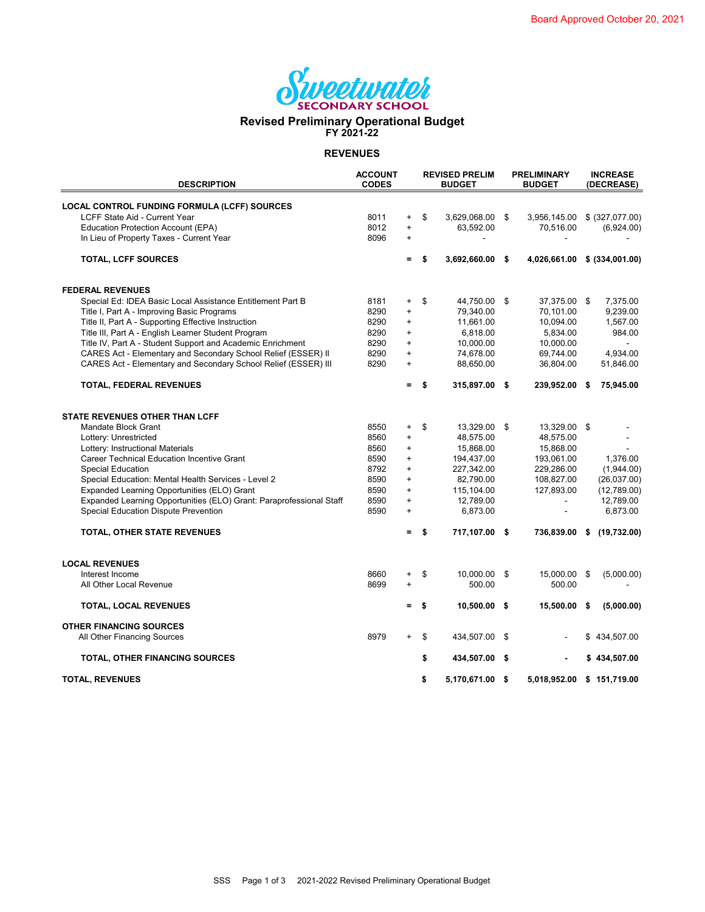

## **Revised Preliminary Operational Budget FY 2021-22**

**REVENUES**

| <b>DESCRIPTION</b>                                                  | <b>ACCOUNT</b><br><b>CODES</b> |           | <b>REVISED PRELIM</b><br><b>BUDGET</b> |                 |     | <b>PRELIMINARY</b><br><b>BUDGET</b> |    | <b>INCREASE</b><br>(DECREASE) |  |
|---------------------------------------------------------------------|--------------------------------|-----------|----------------------------------------|-----------------|-----|-------------------------------------|----|-------------------------------|--|
| LOCAL CONTROL FUNDING FORMULA (LCFF) SOURCES                        |                                |           |                                        |                 |     |                                     |    |                               |  |
| LCFF State Aid - Current Year                                       | 8011                           | $+$       | \$                                     | 3,629,068.00    | \$  | 3,956,145.00                        |    | \$ (327,077.00)               |  |
| <b>Education Protection Account (EPA)</b>                           | 8012                           | $\ddot{}$ |                                        | 63,592.00       |     | 70,516.00                           |    | (6,924.00)                    |  |
| In Lieu of Property Taxes - Current Year                            | 8096                           | $\ddot{}$ |                                        |                 |     |                                     |    |                               |  |
| <b>TOTAL, LCFF SOURCES</b>                                          |                                | =         | \$                                     | 3,692,660.00    | -\$ | 4,026,661.00                        |    | \$ (334,001.00)               |  |
| <b>FEDERAL REVENUES</b>                                             |                                |           |                                        |                 |     |                                     |    |                               |  |
| Special Ed: IDEA Basic Local Assistance Entitlement Part B          | 8181                           | $\ddot{}$ | \$                                     | 44,750.00 \$    |     | 37,375.00 \$                        |    | 7,375.00                      |  |
| Title I, Part A - Improving Basic Programs                          | 8290                           | $\ddot{}$ |                                        | 79,340.00       |     | 70,101.00                           |    | 9,239.00                      |  |
| Title II, Part A - Supporting Effective Instruction                 | 8290                           | $\ddot{}$ |                                        | 11,661.00       |     | 10,094.00                           |    | 1,567.00                      |  |
| Title III, Part A - English Learner Student Program                 | 8290                           | +         |                                        | 6,818.00        |     | 5,834.00                            |    | 984.00                        |  |
| Title IV, Part A - Student Support and Academic Enrichment          | 8290                           | $\ddot{}$ |                                        | 10,000.00       |     | 10,000.00                           |    |                               |  |
| CARES Act - Elementary and Secondary School Relief (ESSER) II       | 8290                           | $\pm$     |                                        | 74,678.00       |     | 69,744.00                           |    | 4,934.00                      |  |
| CARES Act - Elementary and Secondary School Relief (ESSER) III      | 8290                           | $\ddot{}$ |                                        | 88,650.00       |     | 36,804.00                           |    | 51,846.00                     |  |
| TOTAL, FEDERAL REVENUES                                             |                                | =         | S                                      | 315,897.00 \$   |     | 239,952.00 \$                       |    | 75,945.00                     |  |
| <b>STATE REVENUES OTHER THAN LCFF</b>                               |                                |           |                                        |                 |     |                                     |    |                               |  |
| Mandate Block Grant                                                 | 8550                           | $\ddot{}$ | \$                                     | 13,329.00       | \$  | 13,329.00 \$                        |    |                               |  |
| Lottery: Unrestricted                                               | 8560                           | +         |                                        | 48,575.00       |     | 48,575.00                           |    |                               |  |
| Lottery: Instructional Materials                                    | 8560                           | +         |                                        | 15,868.00       |     | 15,868.00                           |    |                               |  |
| <b>Career Technical Education Incentive Grant</b>                   | 8590                           | +         |                                        | 194,437.00      |     | 193,061.00                          |    | 1,376.00                      |  |
| <b>Special Education</b>                                            | 8792                           | $\ddot{}$ |                                        | 227,342.00      |     | 229,286.00                          |    | (1,944.00)                    |  |
| Special Education: Mental Health Services - Level 2                 | 8590                           | $\ddot{}$ |                                        | 82,790.00       |     | 108,827.00                          |    | (26,037.00)                   |  |
| Expanded Learning Opportunities (ELO) Grant                         | 8590                           | $\ddot{}$ |                                        | 115,104.00      |     | 127,893.00                          |    | (12,789.00)                   |  |
| Expanded Learning Opportunities (ELO) Grant: Paraprofessional Staff | 8590                           | $\pm$     |                                        | 12,789.00       |     |                                     |    | 12,789.00                     |  |
| <b>Special Education Dispute Prevention</b>                         | 8590                           | +         |                                        | 6,873.00        |     |                                     |    | 6,873.00                      |  |
|                                                                     |                                |           |                                        |                 |     |                                     |    |                               |  |
| TOTAL, OTHER STATE REVENUES                                         |                                | =         |                                        | 717,107.00 \$   |     | 736,839.00                          | \$ | (19,732.00)                   |  |
| <b>LOCAL REVENUES</b>                                               |                                |           |                                        |                 |     |                                     |    |                               |  |
| Interest Income                                                     | 8660                           | $\ddot{}$ | \$                                     | 10,000.00 \$    |     | 15,000.00 \$                        |    | (5,000.00)                    |  |
| All Other Local Revenue                                             | 8699                           | +         |                                        | 500.00          |     | 500.00                              |    |                               |  |
| <b>TOTAL, LOCAL REVENUES</b>                                        |                                | Ξ.        | \$                                     | 10,500.00 \$    |     | 15,500.00 \$                        |    | (5,000.00)                    |  |
| <b>OTHER FINANCING SOURCES</b>                                      |                                |           |                                        |                 |     |                                     |    |                               |  |
| All Other Financing Sources                                         | 8979                           | $+$       | \$                                     | 434,507.00 \$   |     |                                     |    | \$434,507.00                  |  |
| TOTAL, OTHER FINANCING SOURCES                                      |                                |           | \$                                     | 434,507.00 \$   |     |                                     |    | \$434,507.00                  |  |
| <b>TOTAL, REVENUES</b>                                              |                                |           | \$                                     | 5,170,671.00 \$ |     | 5,018,952.00                        |    | \$151,719.00                  |  |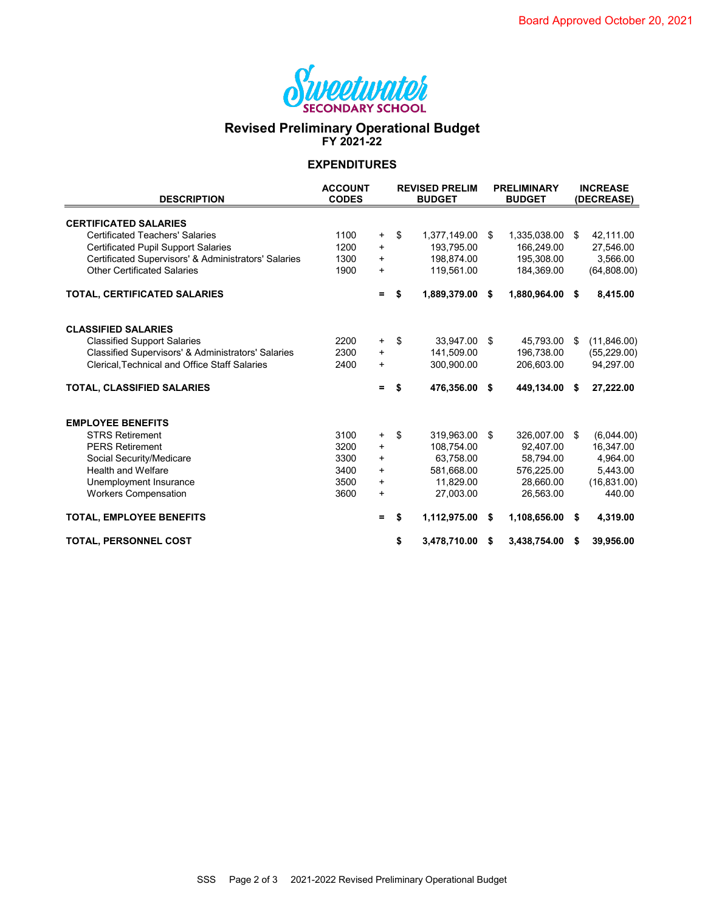

### **Revised Preliminary Operational Budget FY 2021-22**

#### **EXPENDITURES**

| <b>DESCRIPTION</b>                                   | <b>ACCOUNT</b><br><b>CODES</b> |           | <b>REVISED PRELIM</b><br><b>BUDGET</b> |              |    | <b>PRELIMINARY</b><br><b>BUDGET</b> | <b>INCREASE</b><br>(DECREASE) |              |  |
|------------------------------------------------------|--------------------------------|-----------|----------------------------------------|--------------|----|-------------------------------------|-------------------------------|--------------|--|
| <b>CERTIFICATED SALARIES</b>                         |                                |           |                                        |              |    |                                     |                               |              |  |
| <b>Certificated Teachers' Salaries</b>               | 1100                           | $\ddot{}$ | \$                                     | 1,377,149.00 | S. | 1,335,038.00                        | \$                            | 42,111.00    |  |
| <b>Certificated Pupil Support Salaries</b>           | 1200                           | $\ddot{}$ |                                        | 193,795.00   |    | 166,249.00                          |                               | 27,546.00    |  |
| Certificated Supervisors' & Administrators' Salaries | 1300                           | $\ddot{}$ |                                        | 198,874.00   |    | 195,308.00                          |                               | 3,566.00     |  |
| <b>Other Certificated Salaries</b>                   | 1900                           | $\ddot{}$ |                                        | 119,561.00   |    | 184,369.00                          |                               | (64,808.00)  |  |
| TOTAL, CERTIFICATED SALARIES                         |                                | $=$       | Ŝ.                                     | 1,889,379.00 | \$ | 1,880,964.00 \$                     |                               | 8,415.00     |  |
| <b>CLASSIFIED SALARIES</b>                           |                                |           |                                        |              |    |                                     |                               |              |  |
| <b>Classified Support Salaries</b>                   | 2200                           | $\ddot{}$ | \$                                     | 33,947.00    | \$ | 45,793.00                           | -\$                           | (11,846.00)  |  |
| Classified Supervisors' & Administrators' Salaries   | 2300                           | $\ddot{}$ |                                        | 141,509.00   |    | 196,738.00                          |                               | (55, 229.00) |  |
| Clerical, Technical and Office Staff Salaries        | 2400                           | $\ddot{}$ |                                        | 300,900.00   |    | 206,603.00                          |                               | 94,297.00    |  |
| TOTAL, CLASSIFIED SALARIES                           |                                | $=$       | \$                                     | 476,356.00   | \$ | 449,134.00                          | - \$                          | 27,222.00    |  |
| <b>EMPLOYEE BENEFITS</b>                             |                                |           |                                        |              |    |                                     |                               |              |  |
| <b>STRS Retirement</b>                               | 3100                           | +         | \$                                     | 319,963.00   | \$ | 326,007.00 \$                       |                               | (6,044.00)   |  |
| <b>PERS Retirement</b>                               | 3200                           | $\ddot{}$ |                                        | 108,754.00   |    | 92,407.00                           |                               | 16,347.00    |  |
| Social Security/Medicare                             | 3300                           | $\ddot{}$ |                                        | 63,758.00    |    | 58,794.00                           |                               | 4,964.00     |  |
| <b>Health and Welfare</b>                            | 3400                           | $\ddot{}$ |                                        | 581,668.00   |    | 576,225.00                          |                               | 5,443.00     |  |
| Unemployment Insurance                               | 3500                           | $\ddot{}$ |                                        | 11,829.00    |    | 28,660.00                           |                               | (16, 831.00) |  |
| <b>Workers Compensation</b>                          | 3600                           | $\ddot{}$ |                                        | 27,003.00    |    | 26,563.00                           |                               | 440.00       |  |
| <b>TOTAL, EMPLOYEE BENEFITS</b>                      |                                | $=$       | S.                                     | 1,112,975.00 | \$ | 1,108,656.00 \$                     |                               | 4,319.00     |  |
| <b>TOTAL, PERSONNEL COST</b>                         |                                |           | \$                                     | 3,478,710.00 | S  | 3,438,754.00                        | - \$                          | 39,956.00    |  |